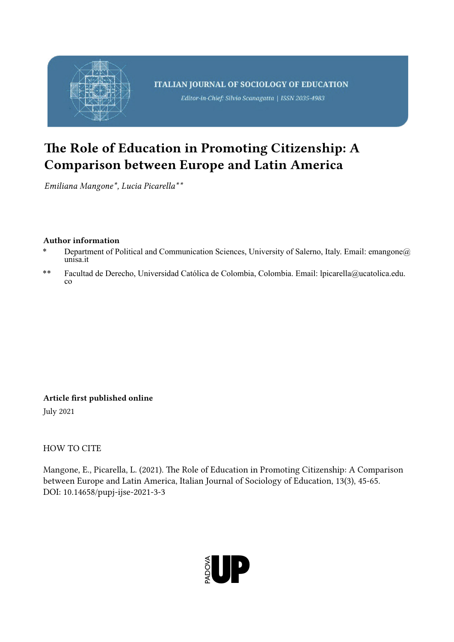

# The Role of Education in Promoting Citizenship: A Comparison between Europe and Latin America

*Emiliana Mangone\*, Lucia Picarella\*\**

# Author information

- Department of Political and Communication Sciences, University of Salerno, Italy. Email: emangone@ unisa.it
- \*\* Facultad de Derecho, Universidad Católica de Colombia, Colombia. Email: lpicarella@ucatolica.edu.  $c<sub>0</sub>$

Article first published online July 2021

HOW TO CITE

Mangone, E., Picarella, L. (2021). The Role of Education in Promoting Citizenship: A Comparison between Europe and Latin America, Italian Journal of Sociology of Education, 13(3), 45-65. DOI: 10.14658/pupj-ijse-2021-3-3

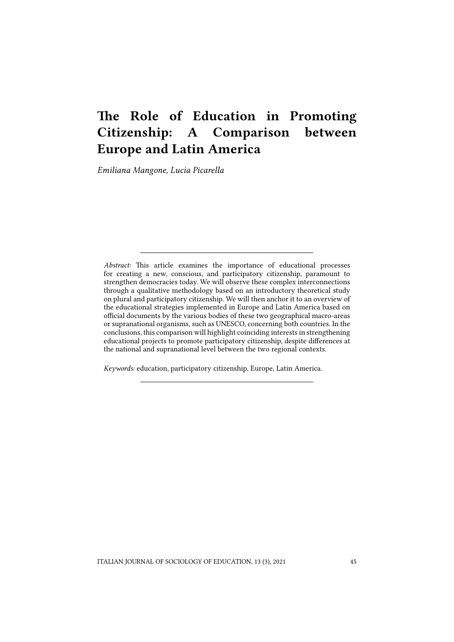# The Role of Education in Promoting Citizenship: A Comparison between Europe and Latin America

*Emiliana Mangone, Lucia Picarella*

*Abstract:* This article examines the importance of educational processes for creating a new, conscious, and participatory citizenship, paramount to strengthen democracies today. We will observe these complex interconnections through a qualitative methodology based on an introductory theoretical study on plural and participatory citizenship. We will then anchor it to an overview of the educational strategies implemented in Europe and Latin America based on official documents by the various bodies of these two geographical macro-areas or supranational organisms, such as UNESCO, concerning both countries. In the conclusions, this comparison will highlight coinciding interests in strengthening educational projects to promote participatory citizenship, despite differences at the national and supranational level between the two regional contexts.

*Keywords:* education, participatory citizenship, Europe, Latin America.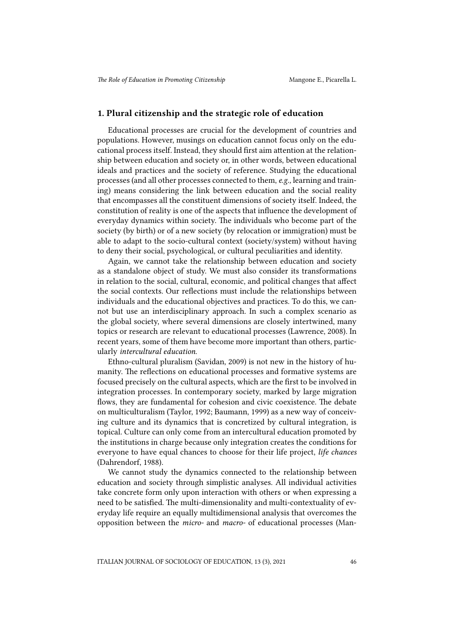### 1. Plural citizenship and the strategic role of education

Educational processes are crucial for the development of countries and populations. However, musings on education cannot focus only on the educational process itself. Instead, they should first aim attention at the relationship between education and society or, in other words, between educational ideals and practices and the society of reference. Studying the educational processes (and all other processes connected to them, *e.g.,* learning and training) means considering the link between education and the social reality that encompasses all the constituent dimensions of society itself. Indeed, the constitution of reality is one of the aspects that influence the development of everyday dynamics within society. The individuals who become part of the society (by birth) or of a new society (by relocation or immigration) must be able to adapt to the socio-cultural context (society/system) without having to deny their social, psychological, or cultural peculiarities and identity.

Again, we cannot take the relationship between education and society as a standalone object of study. We must also consider its transformations in relation to the social, cultural, economic, and political changes that affect the social contexts. Our reflections must include the relationships between individuals and the educational objectives and practices. To do this, we cannot but use an interdisciplinary approach. In such a complex scenario as the global society, where several dimensions are closely intertwined, many topics or research are relevant to educational processes (Lawrence, 2008). In recent years, some of them have become more important than others, particularly *intercultural education*.

Ethno-cultural pluralism (Savidan, 2009) is not new in the history of humanity. The reflections on educational processes and formative systems are focused precisely on the cultural aspects, which are the first to be involved in integration processes. In contemporary society, marked by large migration flows, they are fundamental for cohesion and civic coexistence. The debate on multiculturalism (Taylor, 1992; Baumann, 1999) as a new way of conceiving culture and its dynamics that is concretized by cultural integration, is topical. Culture can only come from an intercultural education promoted by the institutions in charge because only integration creates the conditions for everyone to have equal chances to choose for their life project, *life chances* (Dahrendorf, 1988).

We cannot study the dynamics connected to the relationship between education and society through simplistic analyses. All individual activities take concrete form only upon interaction with others or when expressing a need to be satisfied. The multi-dimensionality and multi-contextuality of everyday life require an equally multidimensional analysis that overcomes the opposition between the *micro-* and *macro-* of educational processes (Man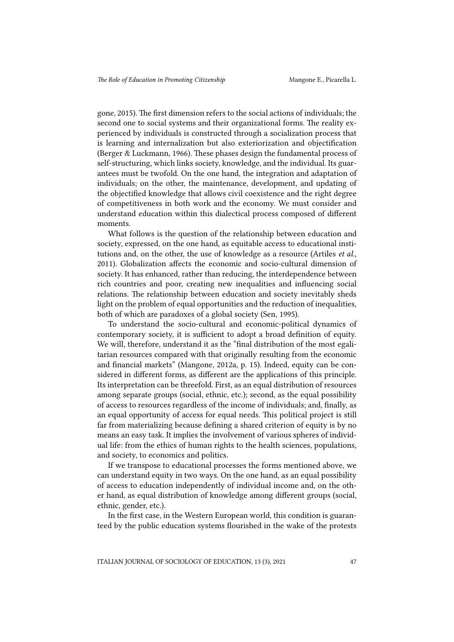gone, 2015). The first dimension refers to the social actions of individuals; the second one to social systems and their organizational forms. The reality experienced by individuals is constructed through a socialization process that is learning and internalization but also exteriorization and objectification (Berger & Luckmann, 1966). These phases design the fundamental process of self-structuring, which links society, knowledge, and the individual. Its guarantees must be twofold. On the one hand, the integration and adaptation of individuals; on the other, the maintenance, development, and updating of the objectified knowledge that allows civil coexistence and the right degree of competitiveness in both work and the economy. We must consider and understand education within this dialectical process composed of different moments.

What follows is the question of the relationship between education and society, expressed, on the one hand, as equitable access to educational institutions and, on the other, the use of knowledge as a resource (Artiles *et al.*, 2011). Globalization affects the economic and socio-cultural dimension of society. It has enhanced, rather than reducing, the interdependence between rich countries and poor, creating new inequalities and influencing social relations. The relationship between education and society inevitably sheds light on the problem of equal opportunities and the reduction of inequalities, both of which are paradoxes of a global society (Sen, 1995).

To understand the socio-cultural and economic-political dynamics of contemporary society, it is sufficient to adopt a broad definition of equity. We will, therefore, understand it as the "final distribution of the most egalitarian resources compared with that originally resulting from the economic and financial markets" (Mangone, 2012a, p. 15). Indeed, equity can be considered in different forms, as different are the applications of this principle. Its interpretation can be threefold. First, as an equal distribution of resources among separate groups (social, ethnic, etc.); second, as the equal possibility of access to resources regardless of the income of individuals; and, finally, as an equal opportunity of access for equal needs. This political project is still far from materializing because defining a shared criterion of equity is by no means an easy task. It implies the involvement of various spheres of individual life: from the ethics of human rights to the health sciences, populations, and society, to economics and politics.

If we transpose to educational processes the forms mentioned above, we can understand equity in two ways. On the one hand, as an equal possibility of access to education independently of individual income and, on the other hand, as equal distribution of knowledge among different groups (social, ethnic, gender, etc.).

In the first case, in the Western European world, this condition is guaranteed by the public education systems flourished in the wake of the protests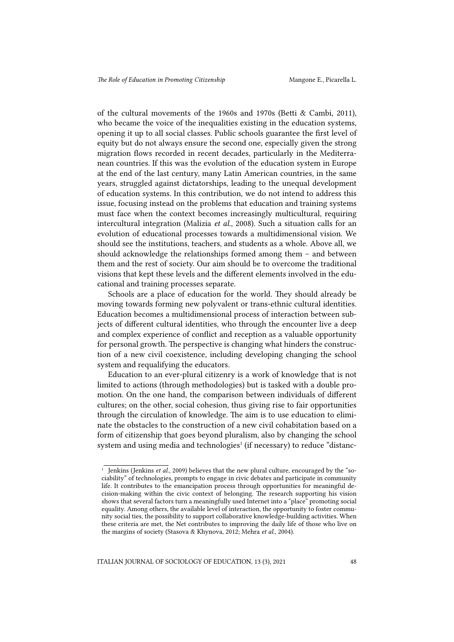of the cultural movements of the 1960s and 1970s (Betti & Cambi, 2011), who became the voice of the inequalities existing in the education systems, opening it up to all social classes. Public schools guarantee the first level of equity but do not always ensure the second one, especially given the strong migration flows recorded in recent decades, particularly in the Mediterranean countries. If this was the evolution of the education system in Europe at the end of the last century, many Latin American countries, in the same years, struggled against dictatorships, leading to the unequal development of education systems. In this contribution, we do not intend to address this issue, focusing instead on the problems that education and training systems must face when the context becomes increasingly multicultural, requiring intercultural integration (Malizia *et al.*, 2008). Such a situation calls for an evolution of educational processes towards a multidimensional vision. We should see the institutions, teachers, and students as a whole. Above all, we should acknowledge the relationships formed among them – and between them and the rest of society. Our aim should be to overcome the traditional visions that kept these levels and the different elements involved in the educational and training processes separate.

Schools are a place of education for the world. They should already be moving towards forming new polyvalent or trans-ethnic cultural identities. Education becomes a multidimensional process of interaction between subjects of different cultural identities, who through the encounter live a deep and complex experience of conflict and reception as a valuable opportunity for personal growth. The perspective is changing what hinders the construction of a new civil coexistence, including developing changing the school system and requalifying the educators.

Education to an ever-plural citizenry is a work of knowledge that is not limited to actions (through methodologies) but is tasked with a double promotion. On the one hand, the comparison between individuals of different cultures; on the other, social cohesion, thus giving rise to fair opportunities through the circulation of knowledge. The aim is to use education to eliminate the obstacles to the construction of a new civil cohabitation based on a form of citizenship that goes beyond pluralism, also by changing the school system and using media and technologies<sup>1</sup> (if necessary) to reduce "distanc-

<sup>&</sup>lt;sup>1</sup> Jenkins (Jenkins *et al.*, 2009) believes that the new plural culture, encouraged by the "sociability" of technologies, prompts to engage in civic debates and participate in community life. It contributes to the emancipation process through opportunities for meaningful decision-making within the civic context of belonging. The research supporting his vision shows that several factors turn a meaningfully used Internet into a "place" promoting social equality. Among others, the available level of interaction, the opportunity to foster community social ties, the possibility to support collaborative knowledge-building activities. When these criteria are met, the Net contributes to improving the daily life of those who live on the margins of society (Stasova & Khynova, 2012; Mehra *et al.*, 2004).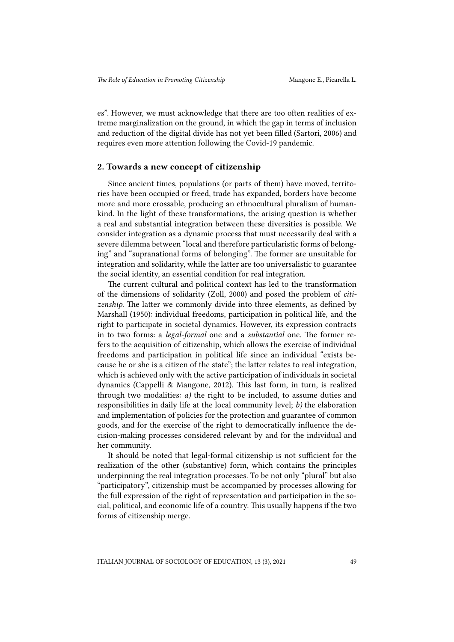es". However, we must acknowledge that there are too often realities of extreme marginalization on the ground, in which the gap in terms of inclusion and reduction of the digital divide has not yet been filled (Sartori, 2006) and requires even more attention following the Covid-19 pandemic.

#### 2. Towards a new concept of citizenship

Since ancient times, populations (or parts of them) have moved, territories have been occupied or freed, trade has expanded, borders have become more and more crossable, producing an ethnocultural pluralism of humankind. In the light of these transformations, the arising question is whether a real and substantial integration between these diversities is possible. We consider integration as a dynamic process that must necessarily deal with a severe dilemma between "local and therefore particularistic forms of belonging" and "supranational forms of belonging". The former are unsuitable for integration and solidarity, while the latter are too universalistic to guarantee the social identity, an essential condition for real integration.

The current cultural and political context has led to the transformation of the dimensions of solidarity (Zoll, 2000) and posed the problem of *citizenship*. The latter we commonly divide into three elements, as defined by Marshall (1950): individual freedoms, participation in political life, and the right to participate in societal dynamics. However, its expression contracts in to two forms: a *legal-formal* one and a *substantial* one. The former refers to the acquisition of citizenship, which allows the exercise of individual freedoms and participation in political life since an individual "exists because he or she is a citizen of the state"; the latter relates to real integration, which is achieved only with the active participation of individuals in societal dynamics (Cappelli & Mangone, 2012). This last form, in turn, is realized through two modalities: *a)* the right to be included, to assume duties and responsibilities in daily life at the local community level; *b)* the elaboration and implementation of policies for the protection and guarantee of common goods, and for the exercise of the right to democratically influence the decision-making processes considered relevant by and for the individual and her community.

It should be noted that legal-formal citizenship is not sufficient for the realization of the other (substantive) form, which contains the principles underpinning the real integration processes. To be not only "plural" but also "participatory", citizenship must be accompanied by processes allowing for the full expression of the right of representation and participation in the social, political, and economic life of a country. This usually happens if the two forms of citizenship merge.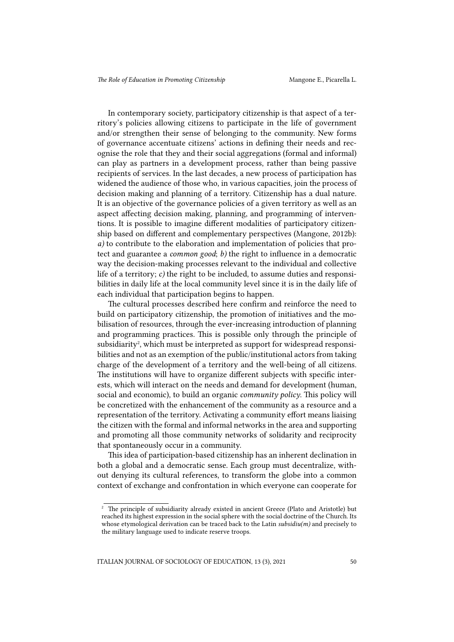In contemporary society, participatory citizenship is that aspect of a territory's policies allowing citizens to participate in the life of government and/or strengthen their sense of belonging to the community. New forms of governance accentuate citizens' actions in defining their needs and recognise the role that they and their social aggregations (formal and informal) can play as partners in a development process, rather than being passive recipients of services. In the last decades, a new process of participation has widened the audience of those who, in various capacities, join the process of decision making and planning of a territory. Citizenship has a dual nature. It is an objective of the governance policies of a given territory as well as an aspect affecting decision making, planning, and programming of interventions. It is possible to imagine different modalities of participatory citizenship based on different and complementary perspectives (Mangone, 2012b): *a)* to contribute to the elaboration and implementation of policies that protect and guarantee a *common good*; *b)* the right to influence in a democratic way the decision-making processes relevant to the individual and collective life of a territory; *c)* the right to be included, to assume duties and responsibilities in daily life at the local community level since it is in the daily life of each individual that participation begins to happen.

The cultural processes described here confirm and reinforce the need to build on participatory citizenship, the promotion of initiatives and the mobilisation of resources, through the ever-increasing introduction of planning and programming practices. This is possible only through the principle of subsidiarity<sup>2</sup>, which must be interpreted as support for widespread responsibilities and not as an exemption of the public/institutional actors from taking charge of the development of a territory and the well-being of all citizens. The institutions will have to organize different subjects with specific interests, which will interact on the needs and demand for development (human, social and economic), to build an organic *community policy*. This policy will be concretized with the enhancement of the community as a resource and a representation of the territory. Activating a community effort means liaising the citizen with the formal and informal networks in the area and supporting and promoting all those community networks of solidarity and reciprocity that spontaneously occur in a community.

This idea of participation-based citizenship has an inherent declination in both a global and a democratic sense. Each group must decentralize, without denying its cultural references, to transform the globe into a common context of exchange and confrontation in which everyone can cooperate for

<sup>&</sup>lt;sup>2</sup> The principle of subsidiarity already existed in ancient Greece (Plato and Aristotle) but reached its highest expression in the social sphere with the social doctrine of the Church. Its whose etymological derivation can be traced back to the Latin *subsidiu(m)* and precisely to the military language used to indicate reserve troops.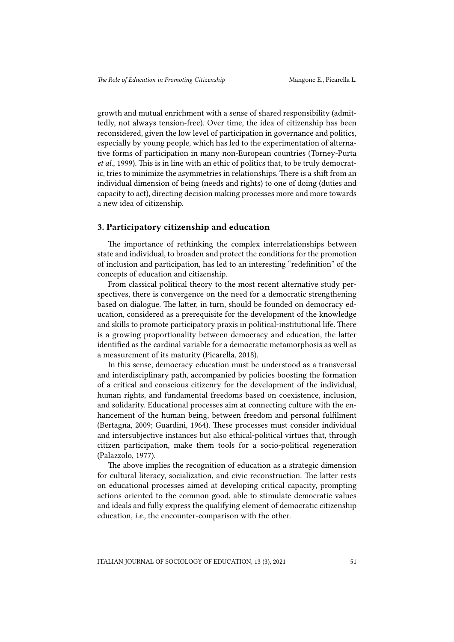growth and mutual enrichment with a sense of shared responsibility (admittedly, not always tension-free). Over time, the idea of citizenship has been reconsidered, given the low level of participation in governance and politics, especially by young people, which has led to the experimentation of alternative forms of participation in many non-European countries (Torney-Purta *et al.*, 1999). This is in line with an ethic of politics that, to be truly democratic, tries to minimize the asymmetries in relationships. There is a shift from an individual dimension of being (needs and rights) to one of doing (duties and capacity to act), directing decision making processes more and more towards a new idea of citizenship.

## 3. Participatory citizenship and education

The importance of rethinking the complex interrelationships between state and individual, to broaden and protect the conditions for the promotion of inclusion and participation, has led to an interesting "redefinition" of the concepts of education and citizenship.

From classical political theory to the most recent alternative study perspectives, there is convergence on the need for a democratic strengthening based on dialogue. The latter, in turn, should be founded on democracy education, considered as a prerequisite for the development of the knowledge and skills to promote participatory praxis in political-institutional life. There is a growing proportionality between democracy and education, the latter identified as the cardinal variable for a democratic metamorphosis as well as a measurement of its maturity (Picarella, 2018).

In this sense, democracy education must be understood as a transversal and interdisciplinary path, accompanied by policies boosting the formation of a critical and conscious citizenry for the development of the individual, human rights, and fundamental freedoms based on coexistence, inclusion, and solidarity. Educational processes aim at connecting culture with the enhancement of the human being, between freedom and personal fulfilment (Bertagna, 2009; Guardini, 1964). These processes must consider individual and intersubjective instances but also ethical-political virtues that, through citizen participation, make them tools for a socio-political regeneration (Palazzolo, 1977).

The above implies the recognition of education as a strategic dimension for cultural literacy, socialization, and civic reconstruction. The latter rests on educational processes aimed at developing critical capacity, prompting actions oriented to the common good, able to stimulate democratic values and ideals and fully express the qualifying element of democratic citizenship education, *i.e.,* the encounter-comparison with the other.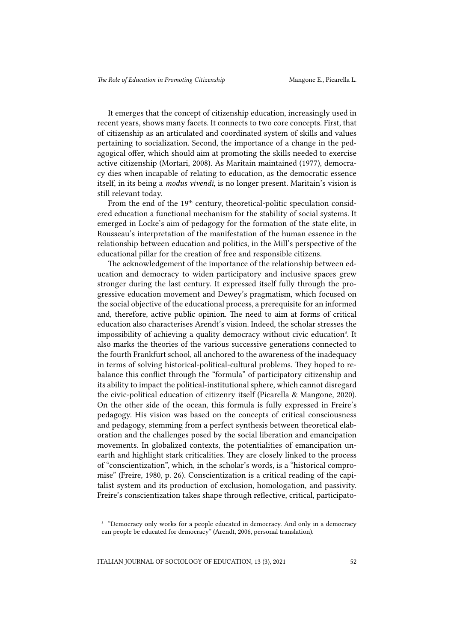It emerges that the concept of citizenship education, increasingly used in recent years, shows many facets. It connects to two core concepts. First, that of citizenship as an articulated and coordinated system of skills and values pertaining to socialization. Second, the importance of a change in the pedagogical offer, which should aim at promoting the skills needed to exercise active citizenship (Mortari, 2008). As Maritain maintained (1977), democracy dies when incapable of relating to education, as the democratic essence itself, in its being a *modus vivendi*, is no longer present. Maritain's vision is still relevant today.

From the end of the 19<sup>th</sup> century, theoretical-politic speculation considered education a functional mechanism for the stability of social systems. It emerged in Locke's aim of pedagogy for the formation of the state elite, in Rousseau's interpretation of the manifestation of the human essence in the relationship between education and politics, in the Mill's perspective of the educational pillar for the creation of free and responsible citizens.

The acknowledgement of the importance of the relationship between education and democracy to widen participatory and inclusive spaces grew stronger during the last century. It expressed itself fully through the progressive education movement and Dewey's pragmatism, which focused on the social objective of the educational process, a prerequisite for an informed and, therefore, active public opinion. The need to aim at forms of critical education also characterises Arendt's vision. Indeed, the scholar stresses the impossibility of achieving a quality democracy without civic education<sup>3</sup>. It also marks the theories of the various successive generations connected to the fourth Frankfurt school, all anchored to the awareness of the inadequacy in terms of solving historical-political-cultural problems. They hoped to rebalance this conflict through the "formula" of participatory citizenship and its ability to impact the political-institutional sphere, which cannot disregard the civic-political education of citizenry itself (Picarella & Mangone, 2020). On the other side of the ocean, this formula is fully expressed in Freire's pedagogy. His vision was based on the concepts of critical consciousness and pedagogy, stemming from a perfect synthesis between theoretical elaboration and the challenges posed by the social liberation and emancipation movements. In globalized contexts, the potentialities of emancipation unearth and highlight stark criticalities. They are closely linked to the process of "conscientization", which, in the scholar's words, is a "historical compromise" (Freire, 1980, p. 26). Conscientization is a critical reading of the capitalist system and its production of exclusion, homologation, and passivity. Freire's conscientization takes shape through reflective, critical, participato-

<sup>&</sup>lt;sup>3</sup> "Democracy only works for a people educated in democracy. And only in a democracy can people be educated for democracy" (Arendt, 2006, personal translation).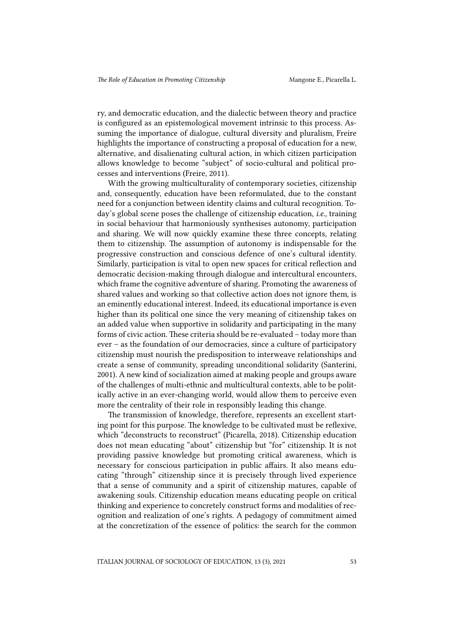ry, and democratic education, and the dialectic between theory and practice is configured as an epistemological movement intrinsic to this process. Assuming the importance of dialogue, cultural diversity and pluralism, Freire highlights the importance of constructing a proposal of education for a new, alternative, and disalienating cultural action, in which citizen participation allows knowledge to become "subject" of socio-cultural and political processes and interventions (Freire, 2011).

With the growing multiculturality of contemporary societies, citizenship and, consequently, education have been reformulated, due to the constant need for a conjunction between identity claims and cultural recognition. Today's global scene poses the challenge of citizenship education, *i.e.,* training in social behaviour that harmoniously synthesises autonomy, participation and sharing. We will now quickly examine these three concepts, relating them to citizenship. The assumption of autonomy is indispensable for the progressive construction and conscious defence of one's cultural identity. Similarly, participation is vital to open new spaces for critical reflection and democratic decision-making through dialogue and intercultural encounters, which frame the cognitive adventure of sharing. Promoting the awareness of shared values and working so that collective action does not ignore them, is an eminently educational interest. Indeed, its educational importance is even higher than its political one since the very meaning of citizenship takes on an added value when supportive in solidarity and participating in the many forms of civic action. These criteria should be re-evaluated – today more than ever – as the foundation of our democracies, since a culture of participatory citizenship must nourish the predisposition to interweave relationships and create a sense of community, spreading unconditional solidarity (Santerini, 2001). A new kind of socialization aimed at making people and groups aware of the challenges of multi-ethnic and multicultural contexts, able to be politically active in an ever-changing world, would allow them to perceive even more the centrality of their role in responsibly leading this change.

The transmission of knowledge, therefore, represents an excellent starting point for this purpose. The knowledge to be cultivated must be reflexive, which "deconstructs to reconstruct" (Picarella, 2018). Citizenship education does not mean educating "about" citizenship but "for" citizenship. It is not providing passive knowledge but promoting critical awareness, which is necessary for conscious participation in public affairs. It also means educating "through" citizenship since it is precisely through lived experience that a sense of community and a spirit of citizenship matures, capable of awakening souls. Citizenship education means educating people on critical thinking and experience to concretely construct forms and modalities of recognition and realization of one's rights. A pedagogy of commitment aimed at the concretization of the essence of politics: the search for the common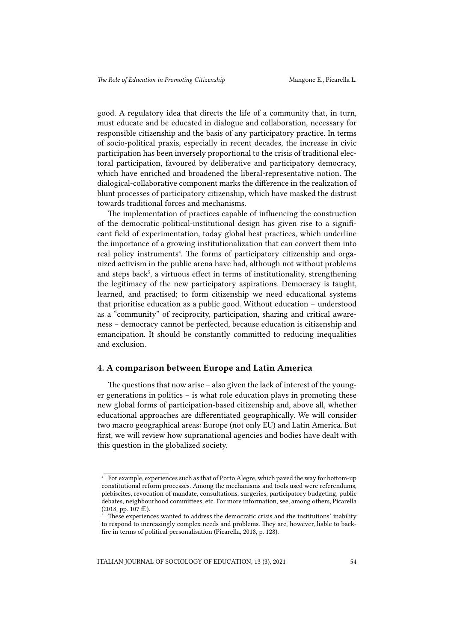good. A regulatory idea that directs the life of a community that, in turn, must educate and be educated in dialogue and collaboration, necessary for responsible citizenship and the basis of any participatory practice. In terms of socio-political praxis, especially in recent decades, the increase in civic participation has been inversely proportional to the crisis of traditional electoral participation, favoured by deliberative and participatory democracy, which have enriched and broadened the liberal-representative notion. The dialogical-collaborative component marks the difference in the realization of blunt processes of participatory citizenship, which have masked the distrust towards traditional forces and mechanisms.

The implementation of practices capable of influencing the construction of the democratic political-institutional design has given rise to a significant field of experimentation, today global best practices, which underline the importance of a growing institutionalization that can convert them into real policy instruments<sup>4</sup>. The forms of participatory citizenship and organized activism in the public arena have had, although not without problems and steps back<sup>5</sup>, a virtuous effect in terms of institutionality, strengthening the legitimacy of the new participatory aspirations. Democracy is taught, learned, and practised; to form citizenship we need educational systems that prioritise education as a public good. Without education – understood as a "community" of reciprocity, participation, sharing and critical awareness – democracy cannot be perfected, because education is citizenship and emancipation. It should be constantly committed to reducing inequalities and exclusion.

#### 4. A comparison between Europe and Latin America

The questions that now arise – also given the lack of interest of the younger generations in politics – is what role education plays in promoting these new global forms of participation-based citizenship and, above all, whether educational approaches are differentiated geographically. We will consider two macro geographical areas: Europe (not only EU) and Latin America. But first, we will review how supranational agencies and bodies have dealt with this question in the globalized society.

<sup>4</sup> For example, experiences such as that of Porto Alegre, which paved the way for bottom-up constitutional reform processes. Among the mechanisms and tools used were referendums, plebiscites, revocation of mandate, consultations, surgeries, participatory budgeting, public debates, neighbourhood committees, etc. For more information, see, among others, Picarella (2018, pp. 107 ff.).

 $\frac{1}{5}$  These experiences wanted to address the democratic crisis and the institutions' inability to respond to increasingly complex needs and problems. They are, however, liable to backfire in terms of political personalisation (Picarella, 2018, p. 128).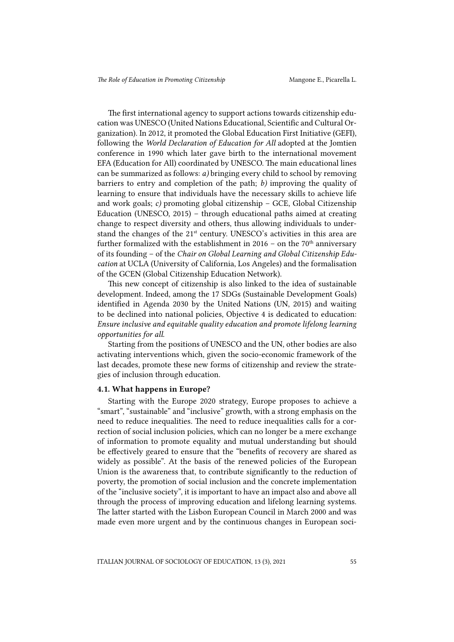The first international agency to support actions towards citizenship education was UNESCO (United Nations Educational, Scientific and Cultural Organization). In 2012, it promoted the Global Education First Initiative (GEFI), following the *World Declaration of Education for All* adopted at the Jomtien conference in 1990 which later gave birth to the international movement EFA (Education for All) coordinated by UNESCO. The main educational lines can be summarized as follows: *a)* bringing every child to school by removing barriers to entry and completion of the path; *b)* improving the quality of learning to ensure that individuals have the necessary skills to achieve life and work goals; *c)* promoting global citizenship – GCE, Global Citizenship Education (UNESCO, 2015) – through educational paths aimed at creating change to respect diversity and others, thus allowing individuals to understand the changes of the 21<sup>st</sup> century. UNESCO's activities in this area are further formalized with the establishment in 2016 – on the  $70<sup>th</sup>$  anniversary of its founding – of the *Chair on Global Learning and Global Citizenship Education* at UCLA (University of California, Los Angeles) and the formalisation of the GCEN (Global Citizenship Education Network).

This new concept of citizenship is also linked to the idea of sustainable development. Indeed, among the 17 SDGs (Sustainable Development Goals) identified in Agenda 2030 by the United Nations (UN, 2015) and waiting to be declined into national policies, Objective 4 is dedicated to education: *Ensure inclusive and equitable quality education and promote lifelong learning opportunities for all*.

Starting from the positions of UNESCO and the UN, other bodies are also activating interventions which, given the socio-economic framework of the last decades, promote these new forms of citizenship and review the strategies of inclusion through education.

#### 4.1. What happens in Europe?

Starting with the Europe 2020 strategy, Europe proposes to achieve a "smart", "sustainable" and "inclusive" growth, with a strong emphasis on the need to reduce inequalities. The need to reduce inequalities calls for a correction of social inclusion policies, which can no longer be a mere exchange of information to promote equality and mutual understanding but should be effectively geared to ensure that the "benefits of recovery are shared as widely as possible". At the basis of the renewed policies of the European Union is the awareness that, to contribute significantly to the reduction of poverty, the promotion of social inclusion and the concrete implementation of the "inclusive society", it is important to have an impact also and above all through the process of improving education and lifelong learning systems. The latter started with the Lisbon European Council in March 2000 and was made even more urgent and by the continuous changes in European soci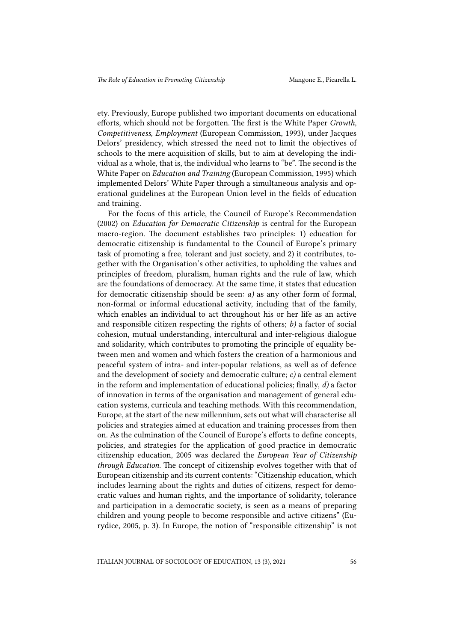ety. Previously, Europe published two important documents on educational efforts, which should not be forgotten. The first is the White Paper *Growth, Competitiveness, Employment* (European Commission, 1993), under Jacques Delors' presidency, which stressed the need not to limit the objectives of schools to the mere acquisition of skills, but to aim at developing the individual as a whole, that is, the individual who learns to "be". The second is the White Paper on *Education and Training* (European Commission, 1995) which implemented Delors' White Paper through a simultaneous analysis and operational guidelines at the European Union level in the fields of education and training.

For the focus of this article, the Council of Europe's Recommendation (2002) on *Education for Democratic Citizenship* is central for the European macro-region. The document establishes two principles: 1) education for democratic citizenship is fundamental to the Council of Europe's primary task of promoting a free, tolerant and just society, and 2) it contributes, together with the Organisation's other activities, to upholding the values and principles of freedom, pluralism, human rights and the rule of law, which are the foundations of democracy. At the same time, it states that education for democratic citizenship should be seen: *a)* as any other form of formal, non-formal or informal educational activity, including that of the family, which enables an individual to act throughout his or her life as an active and responsible citizen respecting the rights of others; *b)* a factor of social cohesion, mutual understanding, intercultural and inter-religious dialogue and solidarity, which contributes to promoting the principle of equality between men and women and which fosters the creation of a harmonious and peaceful system of intra- and inter-popular relations, as well as of defence and the development of society and democratic culture; *c)* a central element in the reform and implementation of educational policies; finally, *d)* a factor of innovation in terms of the organisation and management of general education systems, curricula and teaching methods. With this recommendation, Europe, at the start of the new millennium, sets out what will characterise all policies and strategies aimed at education and training processes from then on. As the culmination of the Council of Europe's efforts to define concepts, policies, and strategies for the application of good practice in democratic citizenship education, 2005 was declared the *European Year of Citizenship through Education*. The concept of citizenship evolves together with that of European citizenship and its current contents: "Citizenship education, which includes learning about the rights and duties of citizens, respect for democratic values and human rights, and the importance of solidarity, tolerance and participation in a democratic society, is seen as a means of preparing children and young people to become responsible and active citizens" (Eurydice, 2005, p. 3). In Europe, the notion of "responsible citizenship" is not

ITALIAN JOURNAL OF SOCIOLOGY OF EDUCATION, 13 (3), 2021 56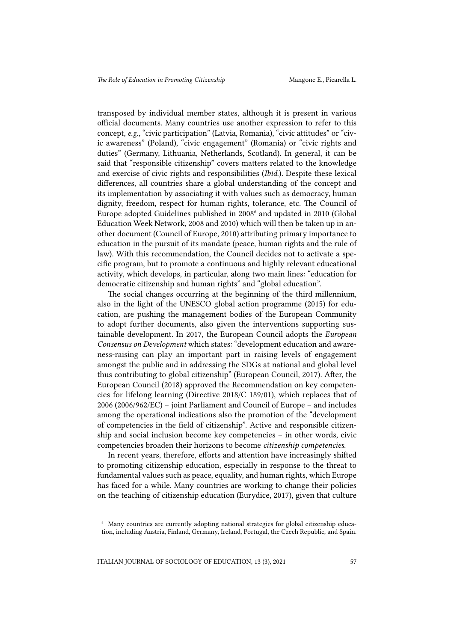transposed by individual member states, although it is present in various official documents. Many countries use another expression to refer to this concept, *e.g.,* "civic participation" (Latvia, Romania), "civic attitudes" or "civic awareness" (Poland), "civic engagement" (Romania) or "civic rights and duties" (Germany, Lithuania, Netherlands, Scotland). In general, it can be said that "responsible citizenship" covers matters related to the knowledge and exercise of civic rights and responsibilities (*Ibid*.). Despite these lexical differences, all countries share a global understanding of the concept and its implementation by associating it with values such as democracy, human dignity, freedom, respect for human rights, tolerance, etc. The Council of Europe adopted Guidelines published in 2008<sup>6</sup> and updated in 2010 (Global Education Week Network, 2008 and 2010) which will then be taken up in another document (Council of Europe, 2010) attributing primary importance to education in the pursuit of its mandate (peace, human rights and the rule of law). With this recommendation, the Council decides not to activate a specific program, but to promote a continuous and highly relevant educational activity, which develops, in particular, along two main lines: "education for democratic citizenship and human rights" and "global education".

The social changes occurring at the beginning of the third millennium, also in the light of the UNESCO global action programme (2015) for education, are pushing the management bodies of the European Community to adopt further documents, also given the interventions supporting sustainable development. In 2017, the European Council adopts the *European Consensus on Development* which states: "development education and awareness-raising can play an important part in raising levels of engagement amongst the public and in addressing the SDGs at national and global level thus contributing to global citizenship" (European Council, 2017). After, the European Council (2018) approved the Recommendation on key competencies for lifelong learning (Directive 2018/C 189/01), which replaces that of 2006 (2006/962/EC) – joint Parliament and Council of Europe – and includes among the operational indications also the promotion of the "development of competencies in the field of citizenship". Active and responsible citizenship and social inclusion become key competencies – in other words, civic competencies broaden their horizons to become *citizenship competencies*.

In recent years, therefore, efforts and attention have increasingly shifted to promoting citizenship education, especially in response to the threat to fundamental values such as peace, equality, and human rights, which Europe has faced for a while. Many countries are working to change their policies on the teaching of citizenship education (Eurydice, 2017), given that culture

<sup>6</sup> Many countries are currently adopting national strategies for global citizenship education, including Austria, Finland, Germany, Ireland, Portugal, the Czech Republic, and Spain.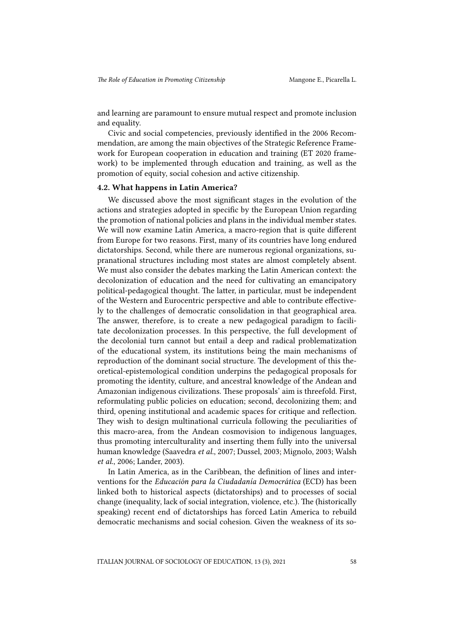and learning are paramount to ensure mutual respect and promote inclusion and equality.

Civic and social competencies, previously identified in the 2006 Recommendation, are among the main objectives of the Strategic Reference Framework for European cooperation in education and training (ET 2020 framework) to be implemented through education and training, as well as the promotion of equity, social cohesion and active citizenship.

### 4.2. What happens in Latin America?

We discussed above the most significant stages in the evolution of the actions and strategies adopted in specific by the European Union regarding the promotion of national policies and plans in the individual member states. We will now examine Latin America, a macro-region that is quite different from Europe for two reasons. First, many of its countries have long endured dictatorships. Second, while there are numerous regional organizations, supranational structures including most states are almost completely absent. We must also consider the debates marking the Latin American context: the decolonization of education and the need for cultivating an emancipatory political-pedagogical thought. The latter, in particular, must be independent of the Western and Eurocentric perspective and able to contribute effectively to the challenges of democratic consolidation in that geographical area. The answer, therefore, is to create a new pedagogical paradigm to facilitate decolonization processes. In this perspective, the full development of the decolonial turn cannot but entail a deep and radical problematization of the educational system, its institutions being the main mechanisms of reproduction of the dominant social structure. The development of this theoretical-epistemological condition underpins the pedagogical proposals for promoting the identity, culture, and ancestral knowledge of the Andean and Amazonian indigenous civilizations. These proposals' aim is threefold. First, reformulating public policies on education; second, decolonizing them; and third, opening institutional and academic spaces for critique and reflection. They wish to design multinational curricula following the peculiarities of this macro-area, from the Andean cosmovision to indigenous languages, thus promoting interculturality and inserting them fully into the universal human knowledge (Saavedra *et al.*, 2007; Dussel, 2003; Mignolo, 2003; Walsh *et al*., 2006; Lander, 2003).

In Latin America, as in the Caribbean, the definition of lines and interventions for the *Educación para la Ciudadanía Democrática* (ECD) has been linked both to historical aspects (dictatorships) and to processes of social change (inequality, lack of social integration, violence, etc.). The (historically speaking) recent end of dictatorships has forced Latin America to rebuild democratic mechanisms and social cohesion. Given the weakness of its so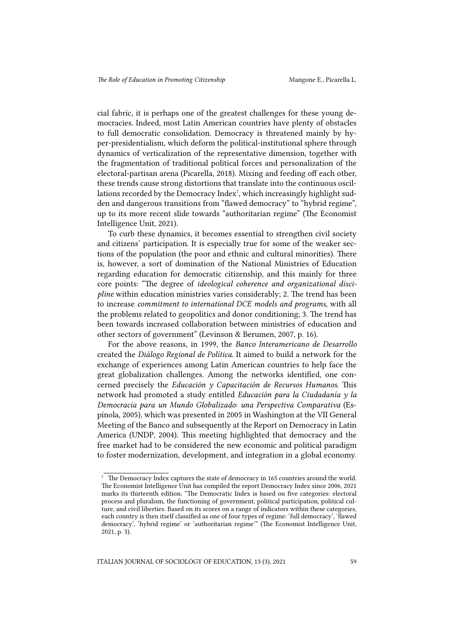cial fabric, it is perhaps one of the greatest challenges for these young democracies. Indeed, most Latin American countries have plenty of obstacles to full democratic consolidation. Democracy is threatened mainly by hyper-presidentialism, which deform the political-institutional sphere through dynamics of verticalization of the representative dimension, together with the fragmentation of traditional political forces and personalization of the electoral-partisan arena (Picarella, 2018). Mixing and feeding off each other, these trends cause strong distortions that translate into the continuous oscillations recorded by the Democracy Index<sup>7</sup>, which increasingly highlight sudden and dangerous transitions from "flawed democracy" to "hybrid regime", up to its more recent slide towards "authoritarian regime" (The Economist Intelligence Unit, 2021).

To curb these dynamics, it becomes essential to strengthen civil society and citizens' participation. It is especially true for some of the weaker sections of the population (the poor and ethnic and cultural minorities). There is, however, a sort of domination of the National Ministries of Education regarding education for democratic citizenship, and this mainly for three core points: "The degree of *ideological coherence and organizational discipline* within education ministries varies considerably; 2. The trend has been to increase *commitment to international DCE models and programs*, with all the problems related to geopolitics and donor conditioning; 3. The trend has been towards increased collaboration between ministries of education and other sectors of government" (Levinson & Berumen, 2007, p. 16).

For the above reasons, in 1999, the *Banco Interamericano de Desarrollo*  created the *Diálogo Regional de Política.* It aimed to build a network for the exchange of experiences among Latin American countries to help face the great globalization challenges. Among the networks identified, one concerned precisely the *Educación y Capacitación de Recursos Humanos*. This network had promoted a study entitled *Educación para la Ciudadanía y la Democracia para un Mundo Globalizado*: *una Perspectiva Comparativa* (Espínola, 2005), which was presented in 2005 in Washington at the VII General Meeting of the Banco and subsequently at the Report on Democracy in Latin America (UNDP, 2004). This meeting highlighted that democracy and the free market had to be considered the new economic and political paradigm to foster modernization, development, and integration in a global economy.

 $7$  The Democracy Index captures the state of democracy in 165 countries around the world. The Economist Intelligence Unit has compiled the report Democracy Index since 2006, 2021 marks its thirteenth edition. "The Democratic Index is based on five categories: electoral process and pluralism, the functioning of government, political participation, political culture, and civil liberties. Based on its scores on a range of indicators within these categories, each country is then itself classified as one of four types of regime: 'full democracy', 'flawed democracy', 'hybrid regime' or 'authoritarian regime'" (The Economist Intelligence Unit, 2021, p. 3).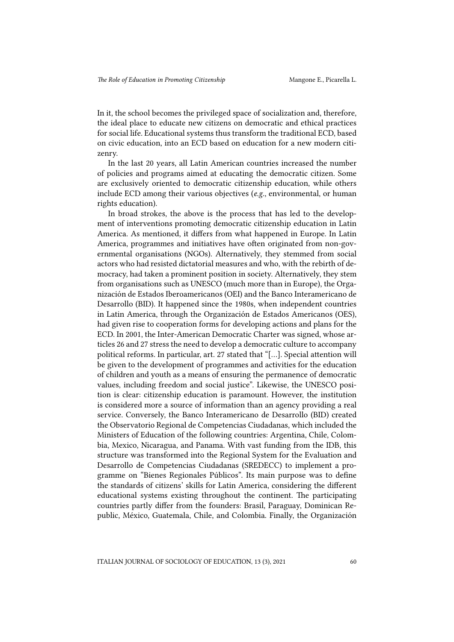In it, the school becomes the privileged space of socialization and, therefore, the ideal place to educate new citizens on democratic and ethical practices for social life. Educational systems thus transform the traditional ECD, based on civic education, into an ECD based on education for a new modern citizenry.

In the last 20 years, all Latin American countries increased the number of policies and programs aimed at educating the democratic citizen. Some are exclusively oriented to democratic citizenship education, while others include ECD among their various objectives (*e.g.*, environmental, or human rights education).

In broad strokes, the above is the process that has led to the development of interventions promoting democratic citizenship education in Latin America. As mentioned, it differs from what happened in Europe. In Latin America, programmes and initiatives have often originated from non-governmental organisations (NGOs). Alternatively, they stemmed from social actors who had resisted dictatorial measures and who, with the rebirth of democracy, had taken a prominent position in society. Alternatively, they stem from organisations such as UNESCO (much more than in Europe), the Organización de Estados Iberoamericanos (OEI) and the Banco Interamericano de Desarrollo (BID). It happened since the 1980s, when independent countries in Latin America, through the Organización de Estados Americanos (OES), had given rise to cooperation forms for developing actions and plans for the ECD. In 2001, the Inter-American Democratic Charter was signed, whose articles 26 and 27 stress the need to develop a democratic culture to accompany political reforms. In particular, art. 27 stated that "[...]. Special attention will be given to the development of programmes and activities for the education of children and youth as a means of ensuring the permanence of democratic values, including freedom and social justice". Likewise, the UNESCO position is clear: citizenship education is paramount. However, the institution is considered more a source of information than an agency providing a real service. Conversely, the Banco Interamericano de Desarrollo (BID) created the Observatorio Regional de Competencias Ciudadanas, which included the Ministers of Education of the following countries: Argentina, Chile, Colombia, Mexico, Nicaragua, and Panama. With vast funding from the IDB, this structure was transformed into the Regional System for the Evaluation and Desarrollo de Competencias Ciudadanas (SREDECC) to implement a programme on "Bienes Regionales Públicos". Its main purpose was to define the standards of citizens' skills for Latin America, considering the different educational systems existing throughout the continent. The participating countries partly differ from the founders: Brasil, Paraguay, Dominican Republic, México, Guatemala, Chile, and Colombia. Finally, the Organización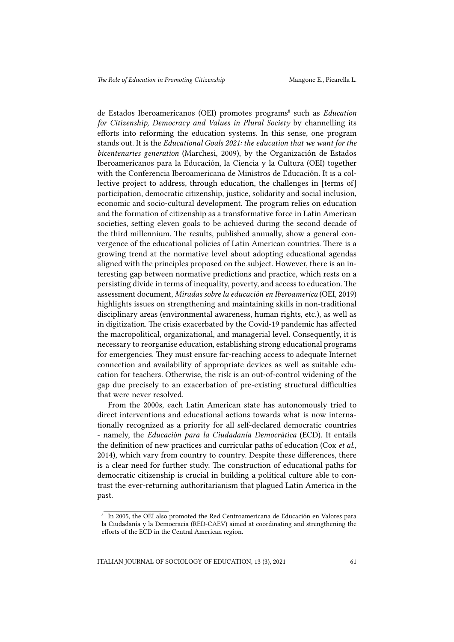de Estados Iberoamericanos (OEI) promotes programs<sup>8</sup> such as *Education for Citizenship, Democracy and Values in Plural Society* by channelling its efforts into reforming the education systems. In this sense, one program stands out. It is the *Educational Goals 2021: the education that we want for the bicentenaries generation* (Marchesi, 2009), by the Organización de Estados Iberoamericanos para la Educación, la Ciencia y la Cultura (OEI) together with the Conferencia Iberoamericana de Ministros de Educación. It is a collective project to address, through education, the challenges in [terms of] participation, democratic citizenship, justice, solidarity and social inclusion, economic and socio-cultural development. The program relies on education and the formation of citizenship as a transformative force in Latin American societies, setting eleven goals to be achieved during the second decade of the third millennium. The results, published annually, show a general convergence of the educational policies of Latin American countries. There is a growing trend at the normative level about adopting educational agendas aligned with the principles proposed on the subject. However, there is an interesting gap between normative predictions and practice, which rests on a persisting divide in terms of inequality, poverty, and access to education. The assessment document, *Miradas sobre la educación en Iberoamerica* (OEI, 2019) highlights issues on strengthening and maintaining skills in non-traditional disciplinary areas (environmental awareness, human rights, etc.), as well as in digitization. The crisis exacerbated by the Covid-19 pandemic has affected the macropolitical, organizational, and managerial level. Consequently, it is necessary to reorganise education, establishing strong educational programs for emergencies. They must ensure far-reaching access to adequate Internet connection and availability of appropriate devices as well as suitable education for teachers. Otherwise, the risk is an out-of-control widening of the gap due precisely to an exacerbation of pre-existing structural difficulties that were never resolved.

From the 2000s, each Latin American state has autonomously tried to direct interventions and educational actions towards what is now internationally recognized as a priority for all self-declared democratic countries - namely, the *Educación para la Ciudadanía Democrática* (ECD). It entails the definition of new practices and curricular paths of education (Cox *et al.*, 2014), which vary from country to country. Despite these differences, there is a clear need for further study. The construction of educational paths for democratic citizenship is crucial in building a political culture able to contrast the ever-returning authoritarianism that plagued Latin America in the past.

ITALIAN JOURNAL OF SOCIOLOGY OF EDUCATION, 13 (3), 2021 61

<sup>8</sup> In 2005, the OEI also promoted the Red Centroamericana de Educación en Valores para la Ciudadanía y la Democracia (RED-CAEV) aimed at coordinating and strengthening the efforts of the ECD in the Central American region.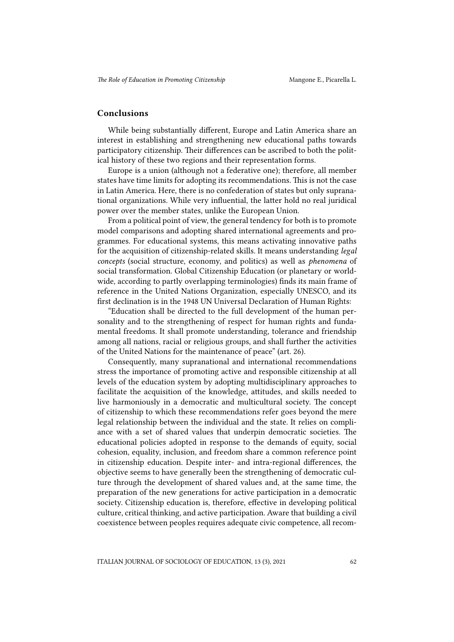#### Conclusions

While being substantially different, Europe and Latin America share an interest in establishing and strengthening new educational paths towards participatory citizenship. Their differences can be ascribed to both the political history of these two regions and their representation forms.

Europe is a union (although not a federative one); therefore, all member states have time limits for adopting its recommendations. This is not the case in Latin America. Here, there is no confederation of states but only supranational organizations. While very influential, the latter hold no real juridical power over the member states, unlike the European Union.

From a political point of view, the general tendency for both is to promote model comparisons and adopting shared international agreements and programmes. For educational systems, this means activating innovative paths for the acquisition of citizenship-related skills. It means understanding *legal concepts* (social structure, economy, and politics) as well as *phenomena* of social transformation. Global Citizenship Education (or planetary or worldwide, according to partly overlapping terminologies) finds its main frame of reference in the United Nations Organization, especially UNESCO, and its first declination is in the 1948 UN Universal Declaration of Human Rights:

"Education shall be directed to the full development of the human personality and to the strengthening of respect for human rights and fundamental freedoms. It shall promote understanding, tolerance and friendship among all nations, racial or religious groups, and shall further the activities of the United Nations for the maintenance of peace" (art. 26).

Consequently, many supranational and international recommendations stress the importance of promoting active and responsible citizenship at all levels of the education system by adopting multidisciplinary approaches to facilitate the acquisition of the knowledge, attitudes, and skills needed to live harmoniously in a democratic and multicultural society. The concept of citizenship to which these recommendations refer goes beyond the mere legal relationship between the individual and the state. It relies on compliance with a set of shared values that underpin democratic societies. The educational policies adopted in response to the demands of equity, social cohesion, equality, inclusion, and freedom share a common reference point in citizenship education. Despite inter- and intra-regional differences, the objective seems to have generally been the strengthening of democratic culture through the development of shared values and, at the same time, the preparation of the new generations for active participation in a democratic society. Citizenship education is, therefore, effective in developing political culture, critical thinking, and active participation. Aware that building a civil coexistence between peoples requires adequate civic competence, all recom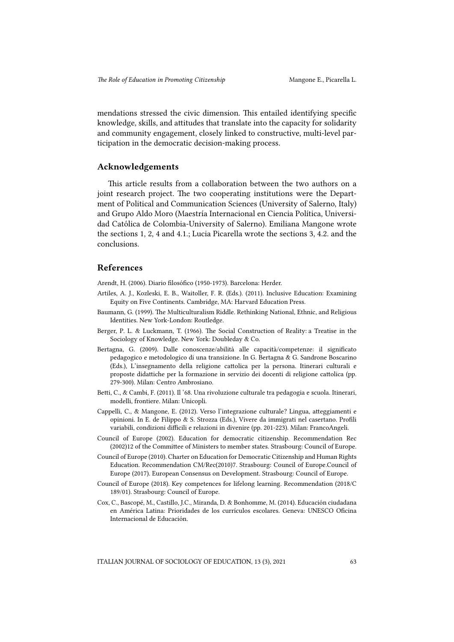mendations stressed the civic dimension. This entailed identifying specific knowledge, skills, and attitudes that translate into the capacity for solidarity and community engagement, closely linked to constructive, multi-level participation in the democratic decision-making process.

#### Acknowledgements

This article results from a collaboration between the two authors on a joint research project. The two cooperating institutions were the Department of Political and Communication Sciences (University of Salerno, Italy) and Grupo Aldo Moro (Maestría Internacional en Ciencia Política, Universidad Católica de Colombia-University of Salerno). Emiliana Mangone wrote the sections 1, 2, 4 and 4.1.; Lucia Picarella wrote the sections 3, 4.2. and the conclusions.

#### References

Arendt, H. (2006). Diario filosófico (1950-1973). Barcelona: Herder.

- Artiles, A. J., Kozleski, E. B., Waitoller, F. R. (Eds.). (2011). Inclusive Education: Examining Equity on Five Continents. Cambridge, MA: Harvard Education Press.
- Baumann, G. (1999). The Multiculturalism Riddle. Rethinking National, Ethnic, and Religious Identities. New York-London: Routledge.
- Berger, P. L. & Luckmann, T. (1966). The Social Construction of Reality: a Treatise in the Sociology of Knowledge. New York: Doubleday & Co.
- Bertagna, G. (2009). Dalle conoscenze/abilità alle capacità/competenze: il significato pedagogico e metodologico di una transizione. In G. Bertagna & G. Sandrone Boscarino (Eds.), L'insegnamento della religione cattolica per la persona. Itinerari culturali e proposte didattiche per la formazione in servizio dei docenti di religione cattolica (pp. 279-300). Milan: Centro Ambrosiano.
- Betti, C., & Cambi, F. (2011). Il '68. Una rivoluzione culturale tra pedagogia e scuola. Itinerari, modelli, frontiere. Milan: Unicopli.
- Cappelli, C., & Mangone, E. (2012). Verso l'integrazione culturale? Lingua, atteggiamenti e opinioni. In E. de Filippo & S. Strozza (Eds.), Vivere da immigrati nel casertano. Profili variabili, condizioni difficili e relazioni in divenire (pp. 201-223). Milan: FrancoAngeli.
- Council of Europe (2002). Education for democratic citizenship. Recommendation Rec (2002)12 of the Committee of Ministers to member states. Strasbourg: Council of Europe.
- Council of Europe (2010). Charter on Education for Democratic Citizenship and Human Rights Education. Recommendation CM/Rec(2010)7. Strasbourg: Council of Europe.Council of Europe (2017). European Consensus on Development. Strasbourg: Council of Europe.
- Council of Europe (2018). Key competences for lifelong learning. Recommendation (2018/C 189/01). Strasbourg: Council of Europe.
- Cox, C., Bascopé, M., Castillo, J.C., Miranda, D. & Bonhomme, M. (2014). Educación ciudadana en América Latina: Prioridades de los currículos escolares. Geneva: UNESCO Oficina Internacional de Educación.

ITALIAN JOURNAL OF SOCIOLOGY OF EDUCATION, 13 (3), 2021 63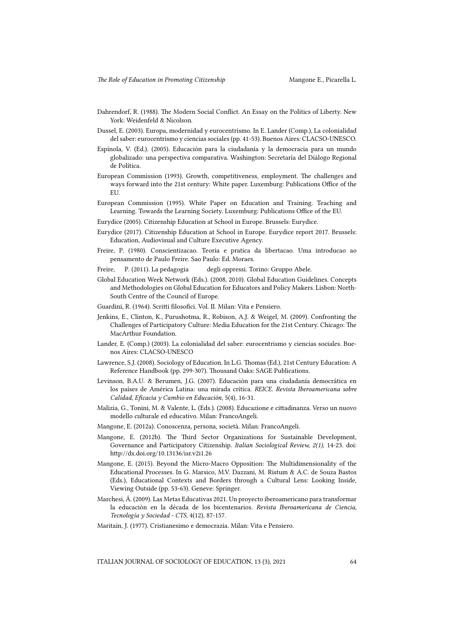- Dahrendorf, R. (1988). The Modern Social Conflict. An Essay on the Politics of Liberty. New York: Weidenfeld & Nicolson.
- Dussel, E. (2003). Europa, modernidad y eurocentrismo. In E. Lander (Comp.), La colonialidad del saber: eurocentrismo y ciencias sociales (pp. 41-53). Buenos Aires: CLACSO-UNESCO.
- Espínola, V. (Ed.). (2005). Educación para la ciudadanía y la democracia para un mundo globalizado: una perspectiva comparativa. Washington: Secretaría del Diálogo Regional de Política.
- European Commission (1993). Growth, competitiveness, employment. The challenges and ways forward into the 21st century: White paper. Luxemburg: Publications Office of the **EU**
- European Commission (1995). White Paper on Education and Training. Teaching and Learning. Towards the Learning Society. Luxemburg: Publications Office of the EU.
- Eurydice (2005). Citizenship Education at School in Europe. Brussels: Eurydice.
- Eurydice (2017). Citizenship Education at School in Europe. Eurydice report 2017. Brussels: Education, Audiovisual and Culture Executive Agency.
- Freire, P. (1980). Conscientizacao. Teoria e pratica da libertacao. Uma introducao ao pensamento de Paulo Freire. Sao Paulo: Ed. Moraes.
- Freire, P. (2011). La pedagogia degli oppressi. Torino: Gruppo Abele.
- Global Education Week Network (Eds.). (2008, 2010). Global Education Guidelines. Concepts and Methodologies on Global Education for Educators and Policy Makers. Lisbon: North-South Centre of the Council of Europe.
- Guardini, R. (1964). Scritti filosofici. Vol. II. Milan: Vita e Pensiero.
- Jenkins, E., Clinton, K., Purushotma, R., Robison, A.J. & Weigel, M. (2009). Confronting the Challenges of Participatory Culture: Media Education for the 21st Century. Chicago: The MacArthur Foundation.
- Lander, E. (Comp.) (2003). La colonialidad del saber: eurocentrismo y ciencias sociales. Buenos Aires: CLACSO-UNESCO
- Lawrence, S.J. (2008). Sociology of Education. In L.G. Thomas (Ed.), 21st Century Education: A Reference Handbook (pp. 299-307). Thousand Oaks: SAGE Publications.
- Levinson, B.A.U. & Berumen, J.G. (2007). Educación para una ciudadanía democrática en los países de América Latina: una mirada crítica. *REICE. Revista Iberoamericana sobre Calidad, Eficacia y Cambio en Educación*, 5(4), 16-31.
- Malizia, G., Tonini, M. & Valente, L. (Eds.). (2008). Educazione e cittadinanza. Verso un nuovo modello culturale ed educativo. Milan: FrancoAngeli.
- Mangone, E. (2012a). Conoscenza, persona, società. Milan: FrancoAngeli.
- Mangone, E. (2012b). The Third Sector Organizations for Sustainable Development, Governance and Participatory Citizenship. *Italian Sociological Review, 2(1)*, 14-23. doi: http://dx.doi.org/10.13136/isr.v2i1.26
- Mangone, E. (2015). Beyond the Micro-Macro Opposition: The Multidimensionality of the Educational Processes. In G. Marsico, M.V. Dazzani, M. Ristum & A.C. de Souza Bastos (Eds.), Educational Contexts and Borders through a Cultural Lens: Looking Inside, Viewing Outside (pp. 53-63). Geneve: Springer.
- Marchesi, Á. (2009). Las Metas Educativas 2021. Un proyecto iberoamericano para transformar la educación en la década de los bicentenarios. *Revista Iberoamericana de Ciencia, Tecnología y Sociedad - CTS*, 4(12), 87-157.
- Maritain, J. (1977). Cristianesimo e democrazia. Milan: Vita e Pensiero.

ITALIAN JOURNAL OF SOCIOLOGY OF EDUCATION, 13 (3), 2021 64